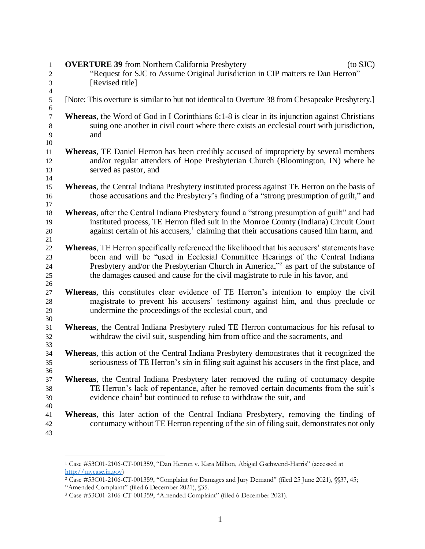| 1<br>$\mathbf{2}$            | <b>OVERTURE 39</b> from Northern California Presbytery<br>$(to$ SJC $)$<br>"Request for SJC to Assume Original Jurisdiction in CIP matters re Dan Herron"                                                                                                                                                                                                           |
|------------------------------|---------------------------------------------------------------------------------------------------------------------------------------------------------------------------------------------------------------------------------------------------------------------------------------------------------------------------------------------------------------------|
| 3<br>$\overline{\mathbf{4}}$ | [Revised title]                                                                                                                                                                                                                                                                                                                                                     |
| $\sqrt{5}$<br>6              | [Note: This overture is similar to but not identical to Overture 38 from Chesapeake Presbytery.]                                                                                                                                                                                                                                                                    |
| $\tau$<br>$\,8\,$<br>9<br>10 | <b>Whereas</b> , the Word of God in I Corinthians 6:1-8 is clear in its injunction against Christians<br>suing one another in civil court where there exists an ecclesial court with jurisdiction,<br>and                                                                                                                                                           |
| 11<br>12<br>13<br>14         | <b>Whereas</b> , TE Daniel Herron has been credibly accused of impropriety by several members<br>and/or regular attenders of Hope Presbyterian Church (Bloomington, IN) where he<br>served as pastor, and                                                                                                                                                           |
| 15<br>16<br>17               | Whereas, the Central Indiana Presbytery instituted process against TE Herron on the basis of<br>those accusations and the Presbytery's finding of a "strong presumption of guilt," and                                                                                                                                                                              |
| 18<br>19<br>$20\,$<br>21     | <b>Whereas</b> , after the Central Indiana Presbytery found a "strong presumption of guilt" and had<br>instituted process, TE Herron filed suit in the Monroe County (Indiana) Circuit Court<br>against certain of his accusers, <sup>1</sup> claiming that their accusations caused him harm, and                                                                  |
| 22<br>23<br>24<br>25<br>26   | Whereas, TE Herron specifically referenced the likelihood that his accusers' statements have<br>been and will be "used in Ecclesial Committee Hearings of the Central Indiana<br>Presbytery and/or the Presbyterian Church in America," <sup>2</sup> as part of the substance of<br>the damages caused and cause for the civil magistrate to rule in his favor, and |
| 27<br>28<br>29<br>30         | Whereas, this constitutes clear evidence of TE Herron's intention to employ the civil<br>magistrate to prevent his accusers' testimony against him, and thus preclude or<br>undermine the proceedings of the ecclesial court, and                                                                                                                                   |
| 31<br>32<br>33               | Whereas, the Central Indiana Presbytery ruled TE Herron contumacious for his refusal to<br>withdraw the civil suit, suspending him from office and the sacraments, and                                                                                                                                                                                              |
| 34<br>35<br>36               | Whereas, this action of the Central Indiana Presbytery demonstrates that it recognized the<br>seriousness of TE Herron's sin in filing suit against his accusers in the first place, and                                                                                                                                                                            |
| 37<br>38<br>39               | Whereas, the Central Indiana Presbytery later removed the ruling of contumacy despite<br>TE Herron's lack of repentance, after he removed certain documents from the suit's<br>evidence chain <sup>3</sup> but continued to refuse to withdraw the suit, and                                                                                                        |
| 40<br>41<br>42<br>43         | Whereas, this later action of the Central Indiana Presbytery, removing the finding of<br>contumacy without TE Herron repenting of the sin of filing suit, demonstrates not only                                                                                                                                                                                     |

 $\overline{a}$ 

 Case #53C01-2106-CT-001359, "Dan Herron v. Kara Million, Abigail Gschwend-Harris" (accessed at [http://mycase.in.gov\)](http://mycase.in.gov/)

Case #53C01-2106-CT-001359, "Complaint for Damages and Jury Demand" (filed 25 June 2021), §§37, 45;

<sup>&</sup>quot;Amended Complaint" (filed 6 December 2021), §35.

Case #53C01-2106-CT-001359, "Amended Complaint" (filed 6 December 2021).